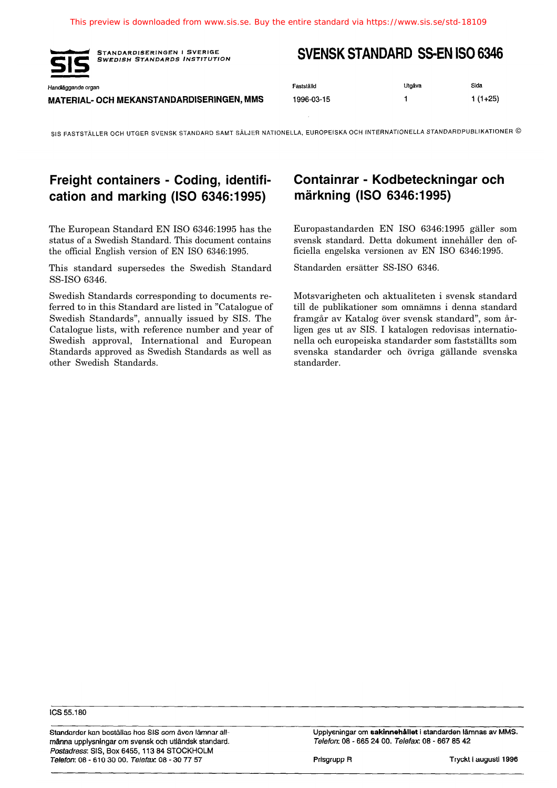

STANDARDISERINGEN I SVERIGE **SWEDISH STANDARDS INSTITUTION** 

Handläggande organ MATERIAL- OCH MEKANSTANDARDISERINGEN, MMS

# **SVENSK STANDARD SS-EN ISO 6346**

| Fastställd | Utgåva | Sida      |
|------------|--------|-----------|
| 1996-03-15 |        | $1(1+25)$ |

SIS FASTSTÄLLER OCH UTGER SVENSK STANDARD SAMT SÄLJER NATIONELLA, EUROPEISKA OCH INTERNATIONELLA STANDARDPUBLIKATIONER ©

# **Freight containers - Coding, identification and marking (ISO 6346:1995)**

The European Standard EN ISO 6346:1995 has the status of a Swedish Standard. This document contains the official English version of EN ISO 6346:1995.

This standard supersedes the Swedish Standard SS-ISO 6346.

Swedish Standards corresponding to documents referred to in this Standard are listed in "Catalogue of Swedish Standards", annually issued by SIS. The Catalogue lists, with reference number and year of Swedish approval, International and European Standards approved as Swedish Standards as well as other Swedish Standards.

# **Containrar - Kodbeteckningar och märkning (ISO 6346:1995)**

Europastandarden EN ISO 6346:1995 gäller som svensk standard. Detta dokument innehåller den officiella engelska versionen av EN ISO 6346:1995.

Standarden ersätter SS-ISO 6346.

Motsvarigheten och aktualiteten i svensk standard till de publikationer som omnämns i denna standard framgår av Katalog över svensk standard", som årligen ges ut av SIS. I katalogen redovisas internationella och europeiska standarder som fastställts som svenska standarder och övriga gällande svenska standarder.

ICS 55.180

Standarder kan beställas hos SIS som även lämnar allmänna upplysningar om svensk och utländsk standard. Postadress: SIS, Box 6455, 113 84 STOCKHOLM Telefon: 08 - 610 30 00. Telefax: 08 - 30 77 57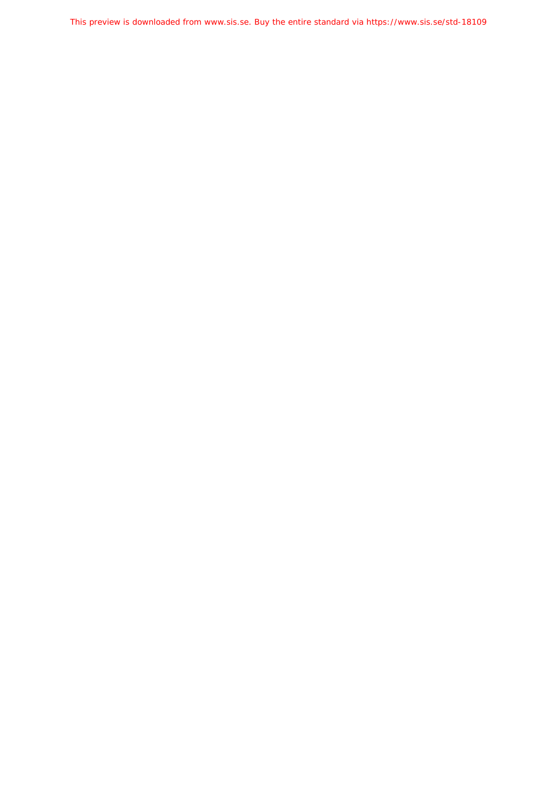This preview is downloaded from www.sis.se. Buy the entire standard via https://www.sis.se/std-18109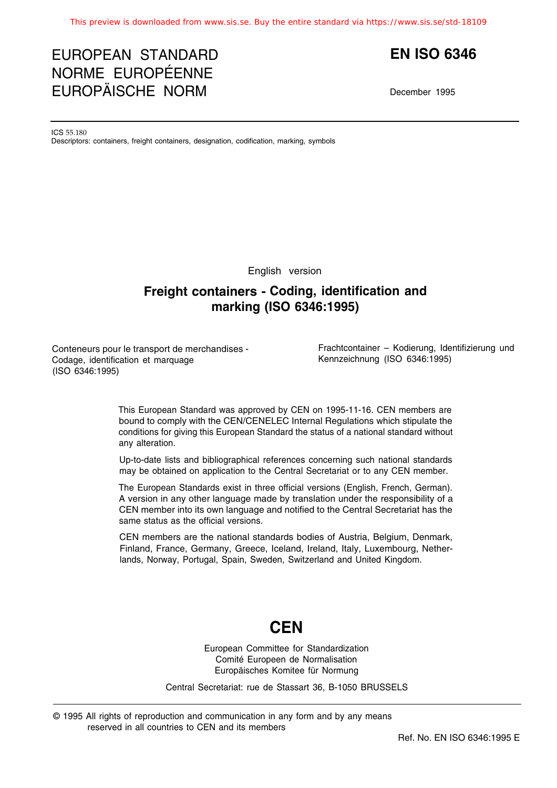# EUROPEAN STANDARD **EN ISO 6346** NORME EUROPÉENNE EUROPÄISCHE NORM December 1995

ICS 55.180 Descriptors: containers, freight containers, designation, codification, marking, symbols

English version

# **Freight containers - Coding, identification and marking (ISO 6346:1995)**

Conteneurs pour le transport de merchandises - Frachtcontainer – Kodierung, Identifizierung und<br>Codage, identification et marquage by example and Kennzeichnung (ISO 6346:1995) Codage, identification et marquage (ISO 6346:1995)

This European Standard was approved by CEN on 1995-11-16. CEN members are bound to comply with the CEN/CENELEC Internal Regulations which stipulate the conditions for giving this European Standard the status of a national standard without any alteration.

Up-to-date lists and bibliographical references concerning such national standards may be obtained on application to the Central Secretariat or to any CEN member.

The European Standards exist in three official versions (English, French, German). A version in any other language made by translation under the responsibility of a CEN member into its own language and notified to the Central Secretariat has the same status as the official versions.

CEN members are the national standards bodies of Austria, Belgium, Denmark, Finland, France, Germany, Greece, Iceland, Ireland, Italy, Luxembourg, Netherlands, Norway, Portugal, Spain, Sweden, Switzerland and United Kingdom.

# **CEN**

European Committee for Standardization Comité Europeen de Normalisation Europäisches Komitee für Normung

Central Secretariat: rue de Stassart 36, B-1050 BRUSSELS

© 1995 All rights of reproduction and communication in any form and by any means reserved in all countries to CEN and its members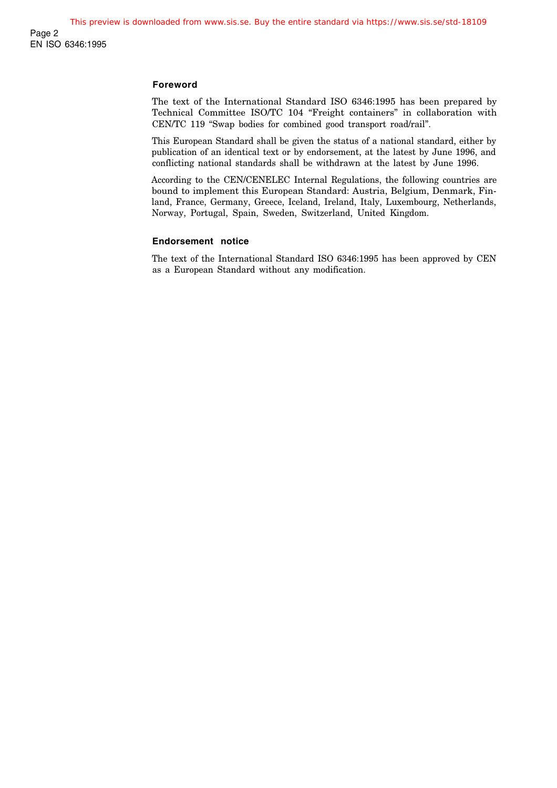#### **Foreword**

The text of the International Standard ISO 6346:1995 has been prepared by Technical Committee ISO/TC 104 "Freight containers" in collaboration with CEN/TC 119 "Swap bodies for combined good transport road/rail".

This European Standard shall be given the status of a national standard, either by publication of an identical text or by endorsement, at the latest by June 1996, and conflicting national standards shall be withdrawn at the latest by June 1996.

According to the CEN/CENELEC Internal Regulations, the following countries are bound to implement this European Standard: Austria, Belgium, Denmark, Finland, France, Germany, Greece, Iceland, Ireland, Italy, Luxembourg, Netherlands, Norway, Portugal, Spain, Sweden, Switzerland, United Kingdom.

#### **Endorsement notice**

The text of the International Standard ISO 6346:1995 has been approved by CEN as a European Standard without any modification.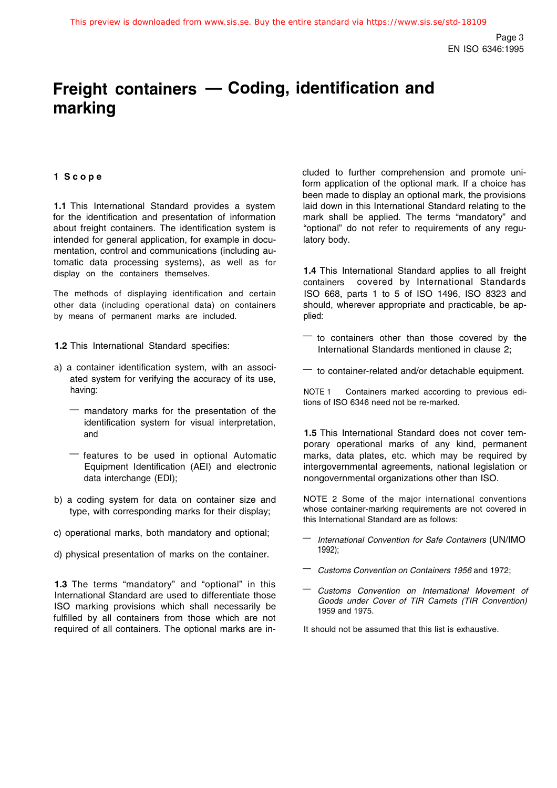# **Freight containers — Coding, identification and marking**

#### **1 S c o p e**

**1.1** This International Standard provides a system for the identification and presentation of information about freight containers. The identification system is intended for general application, for example in documentation, control and communications (including automatic data processing systems), as well as for display on the containers themselves.

The methods of displaying identification and certain other data (including operational data) on containers by means of permanent marks are included.

- **1.2** This International Standard specifies:
- a) a container identification system, with an associated system for verifying the accuracy of its use, having:
	- mandatory marks for the presentation of the identification system for visual interpretation, and
	- features to be used in optional Automatic Equipment Identification (AEI) and electronic data interchange (EDI);
- b) a coding system for data on container size and type, with corresponding marks for their display;
- c) operational marks, both mandatory and optional;
- d) physical presentation of marks on the container.

**1.3** The terms "mandatory" and "optional" in this International Standard are used to differentiate those ISO marking provisions which shall necessarily be fulfilled by all containers from those which are not required of all containers. The optional marks are included to further comprehension and promote uniform application of the optional mark. If a choice has been made to display an optional mark, the provisions laid down in this International Standard relating to the mark shall be applied. The terms "mandatory" and "optional" do not refer to requirements of any regulatory body.

**1.4** This International Standard applies to all freight containers covered by International Standards ISO 668, parts 1 to 5 of ISO 1496, ISO 8323 and should, wherever appropriate and practicable, be applied:

- $-$  to containers other than those covered by the International Standards mentioned in clause 2;
- $-$  to container-related and/or detachable equipment.

NOTE 1 Containers marked according to previous editions of ISO 6346 need not be re-marked.

**1.5** This International Standard does not cover temporary operational marks of any kind, permanent marks, data plates, etc. which may be required by intergovernmental agreements, national legislation or nongovernmental organizations other than ISO.

NOTE 2 Some of the major international conventions whose container-marking requirements are not covered in this International Standard are as follows:

- International Convention for Safe Containers (UN/IMO 1992);
- Customs Convention on Containers 1956 and 1972;
- Customs Convention on International Movement of Goods under Cover of TIR Carnets (TIR Convention) 1959 and 1975.

It should not be assumed that this list is exhaustive.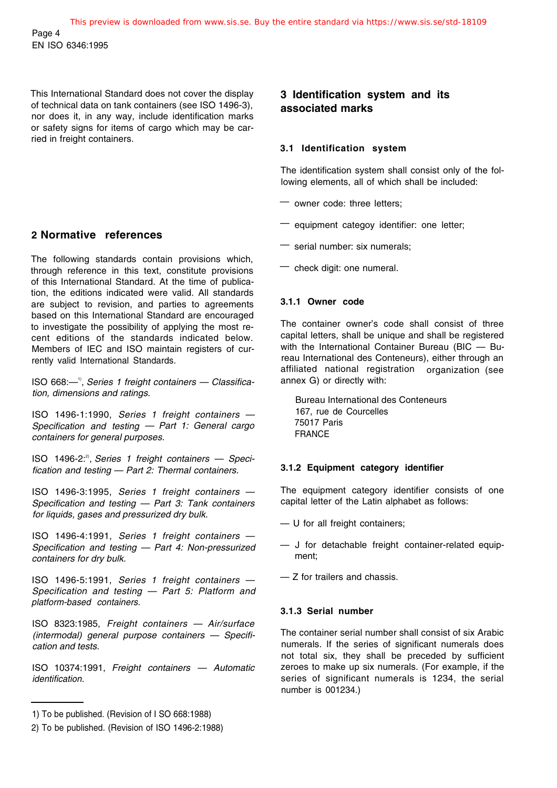This International Standard does not cover the display of technical data on tank containers (see ISO 1496-3), nor does it, in any way, include identification marks or safety signs for items of cargo which may be carried in freight containers.

## **2 Normative references**

The following standards contain provisions which, through reference in this text, constitute provisions of this International Standard. At the time of publication, the editions indicated were valid. All standards are subject to revision, and parties to agreements based on this International Standard are encouraged to investigate the possibility of applying the most recent editions of the standards indicated below. Members of IEC and ISO maintain registers of currently valid International Standards.

ISO 668:—<sup>1)</sup>, Series 1 freight containers — Classification, dimensions and ratings.

ISO 1496-1:1990, Series 1 freight containers — Specification and testing — Part 1: General cargo containers for general purposes.

ISO 1496-2:<sup>2</sup>, Series 1 freight containers — Specification and testing — Part 2: Thermal containers.

ISO 1496-3:1995, Series 1 freight containers — Specification and testing — Part 3: Tank containers for liquids, gases and pressurized dry bulk.

ISO 1496-4:1991, Series 1 freight containers — Specification and testing — Part 4: Non-pressurized containers for dry bulk.

ISO 1496-5:1991, Series 1 freight containers — Specification and testing — Part 5: Platform and platform-based containers.

ISO 8323:1985, Freight containers — Air/surface (intermodal) general purpose containers — Specification and tests.

ISO 10374:1991, Freight containers — Automatic identification.

## **3 Identification system and its associated marks**

## **3.1 Identification system**

The identification system shall consist only of the following elements, all of which shall be included:

- owner code: three letters;
- equipment categoy identifier: one letter;
- serial number: six numerals;
- check digit: one numeral.

## **3.1.1 Owner code**

The container owner's code shall consist of three capital letters, shall be unique and shall be registered with the International Container Bureau (BIC — Bureau International des Conteneurs), either through an affiliated national registration organization (see annex G) or directly with:

Bureau International des Conteneurs 167, rue de Courcelles 75017 Paris FRANCE

## **3.1.2 Equipment category identifier**

The equipment category identifier consists of one capital letter of the Latin alphabet as follows:

- U for all freight containers;
- J for detachable freight container-related equipment;
- Z for trailers and chassis.

## **3.1.3 Serial number**

The container serial number shall consist of six Arabic numerals. If the series of significant numerals does not total six, they shall be preceded by sufficient zeroes to make up six numerals. (For example, if the series of significant numerals is 1234, the serial number is 001234.)

<sup>1)</sup> To be published. (Revision of I SO 668:1988)

<sup>2)</sup> To be published. (Revision of ISO 1496-2:1988)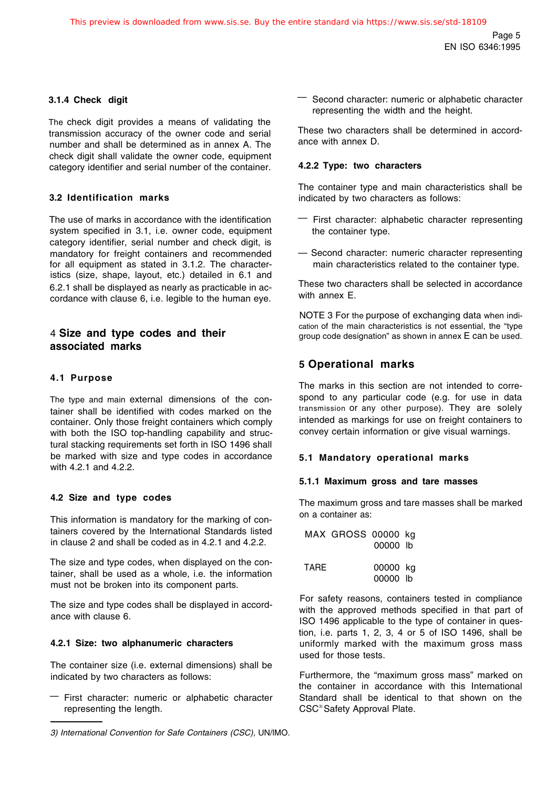## **3.1.4 Check digit**

The check digit provides a means of validating the transmission accuracy of the owner code and serial number and shall be determined as in annex A. The check digit shall validate the owner code, equipment category identifier and serial number of the container.

## **3.2 Identification marks**

The use of marks in accordance with the identification system specified in 3.1, i.e. owner code, equipment category identifier, serial number and check digit, is mandatory for freight containers and recommended for all equipment as stated in 3.1.2. The characteristics (size, shape, layout, etc.) detailed in 6.1 and 6.2.1 shall be displayed as nearly as practicable in accordance with clause 6, i.e. legible to the human eye.

## 4 **Size and type codes and their associated marks**

## **4.1 Purpose**

The type and main external dimensions of the container shall be identified with codes marked on the container. Only those freight containers which comply with both the ISO top-handling capability and structural stacking requirements set forth in ISO 1496 shall be marked with size and type codes in accordance with 4.2.1 and 4.2.2.

## **4.2 Size and type codes**

This information is mandatory for the marking of containers covered by the International Standards listed in clause 2 and shall be coded as in 4.2.1 and 4.2.2.

The size and type codes, when displayed on the container, shall be used as a whole, i.e. the information must not be broken into its component parts.

The size and type codes shall be displayed in accordance with clause 6.

## **4.2.1 Size: two alphanumeric characters**

The container size (i.e. external dimensions) shall be indicated by two characters as follows:

— First character: numeric or alphabetic character representing the length.

— Second character: numeric or alphabetic character representing the width and the height.

These two characters shall be determined in accordance with annex D.

## **4.2.2 Type: two characters**

The container type and main characteristics shall be indicated by two characters as follows:

- First character: alphabetic character representing the container type.
- Second character: numeric character representing main characteristics related to the container type.

These two characters shall be selected in accordance with annex **F** 

NOTE 3 For the purpose of exchanging data when indication of the main characteristics is not essential, the "type group code designation" as shown in annex E can be used.

## **5 Operational marks**

The marks in this section are not intended to correspond to any particular code (e.g. for use in data transmission or any other purpose). They are solely intended as markings for use on freight containers to convey certain information or give visual warnings.

## **5.1 Mandatory operational marks**

## **5.1.1 Maximum gross and tare masses**

The maximum gross and tare masses shall be marked on a container as:

|      | MAX GROSS 00000 kg |          |  |
|------|--------------------|----------|--|
|      |                    | 00000 lb |  |
|      |                    |          |  |
| TARE |                    | 00000 kg |  |
|      |                    | 00000 lb |  |

For safety reasons, containers tested in compliance with the approved methods specified in that part of ISO 1496 applicable to the type of container in question, i.e. parts 1, 2, 3, 4 or 5 of ISO 1496, shall be uniformly marked with the maximum gross mass used for those tests.

Furthermore, the "maximum gross mass" marked on the container in accordance with this International Standard shall be identical to that shown on the CSC<sup>3</sup> Safety Approval Plate.

<sup>3)</sup> International Convention for Safe Containers (CSC), UN/lMO.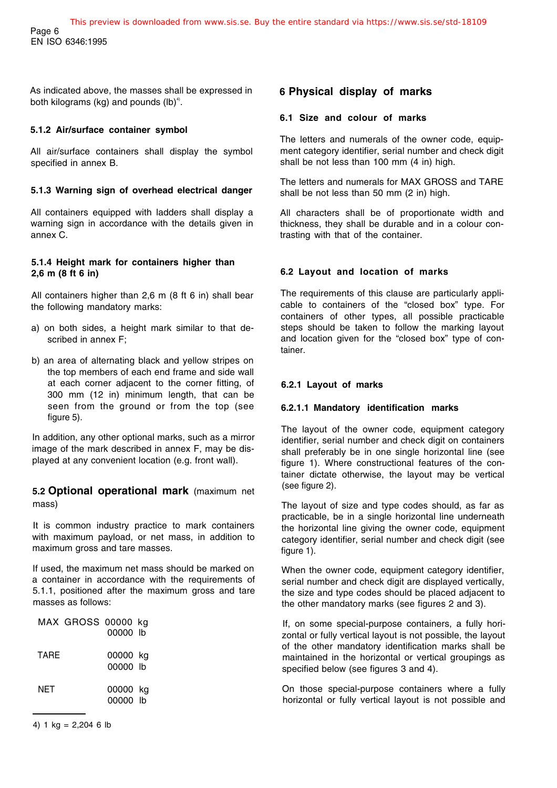As indicated above, the masses shall be expressed in both kilograms (kg) and pounds (lb)<sup>4)</sup>.

## **5.1.2 Air/surface container symbol**

All air/surface containers shall display the symbol specified in annex B.

## **5.1.3 Warning sign of overhead electrical danger**

All containers equipped with ladders shall display a warning sign in accordance with the details given in annex C.

## **5.1.4 Height mark for containers higher than 2,6 m (8 ft 6 in)**

All containers higher than 2,6 m (8 ft 6 in) shall bear the following mandatory marks:

- a) on both sides, a height mark similar to that described in annex F;
- b) an area of alternating black and yellow stripes on the top members of each end frame and side wall at each corner adjacent to the corner fitting, of 300 mm (12 in) minimum length, that can be seen from the ground or from the top (see figure 5).

In addition, any other optional marks, such as a mirror image of the mark described in annex F, may be displayed at any convenient location (e.g. front wall).

## **5.2 Optional operational mark** (maximum net mass)

It is common industry practice to mark containers with maximum payload, or net mass, in addition to maximum gross and tare masses.

If used, the maximum net mass should be marked on a container in accordance with the requirements of 5.1.1, positioned after the maximum gross and tare masses as follows:

| MAX GROSS 00000 kg |
|--------------------|
|                    |
|                    |
| 00000 kg           |
|                    |
|                    |
| 00000 kg           |
|                    |
|                    |

## **6 Physical display of marks**

## **6.1 Size and colour of marks**

The letters and numerals of the owner code, equipment category identifier, serial number and check digit shall be not less than 100 mm (4 in) high.

The letters and numerals for MAX GROSS and TARE shall be not less than 50 mm (2 in) high.

All characters shall be of proportionate width and thickness, they shall be durable and in a colour contrasting with that of the container.

## **6.2 Layout and location of marks**

The requirements of this clause are particularly applicable to containers of the "closed box" type. For containers of other types, all possible practicable steps should be taken to follow the marking layout and location given for the "closed box" type of container.

## **6.2.1 Layout of marks**

## **6.2.1.1 Mandatory identification marks**

The layout of the owner code, equipment category identifier, serial number and check digit on containers shall preferably be in one single horizontal line (see figure 1). Where constructional features of the container dictate otherwise, the layout may be vertical (see figure 2).

The layout of size and type codes should, as far as practicable, be in a single horizontal line underneath the horizontal line giving the owner code, equipment category identifier, serial number and check digit (see figure 1).

When the owner code, equipment category identifier, serial number and check digit are displayed vertically, the size and type codes should be placed adjacent to the other mandatory marks (see figures 2 and 3).

If, on some special-purpose containers, a fully horizontal or fully vertical layout is not possible, the layout of the other mandatory identification marks shall be maintained in the horizontal or vertical groupings as specified below (see figures 3 and 4).

On those special-purpose containers where a fully horizontal or fully vertical layout is not possible and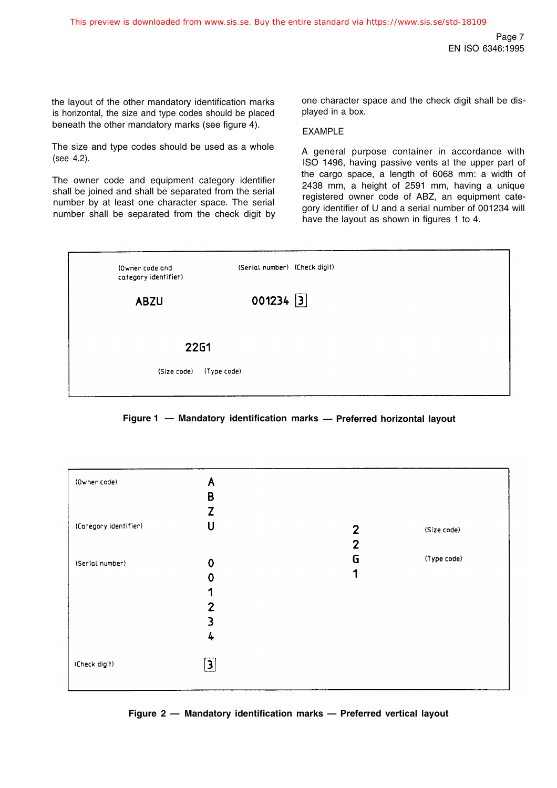is horizontal, the size and type codes should be placed beneath the other mandatory marks (see figure 4).

The size and type codes should be used as a whole The size and type codes should be used as a whole<br>(see 4.2).

shall be joined and shall be separated from the serial registered owner code of ABZ, an equipment catenumber by at least one character space. The serial registered owner code of ABZ, an equipment cate-<br>gory identifier of U and a serial number of 001234 will number shall be separated from the check digit by

the layout of the other mandatory identification marks one character space and the check digit shall be dis-<br>is horizontal, the size and type codes should be placed played in a box.

ISO 1496, having passive vents at the upper part of The owner code and equipment category identifier<br>2438 mm, a height of 2591 mm, having a unique have the layout as shown in figures 1 to 4.







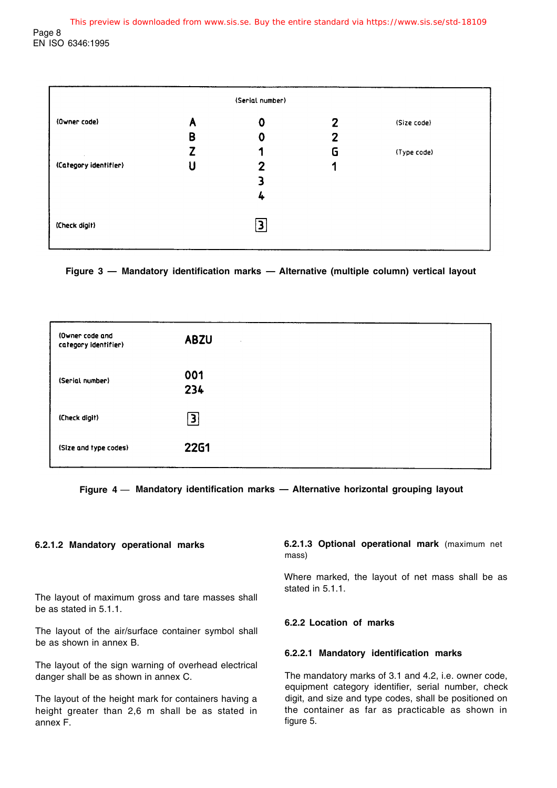|                       |   | (Serial number) |   |             |
|-----------------------|---|-----------------|---|-------------|
| (Owner code)          | A | 0               | 2 | (Size code) |
|                       | B | 0               | 2 |             |
| $\sim$                |   |                 | G | (Type code) |
| (Category identifier) |   |                 |   |             |
|                       |   |                 |   |             |
|                       |   |                 |   |             |
| (Check digit)         |   | 3               |   |             |

**Figure 3 — Mandatory identification marks — Alternative (multiple column) vertical layout**

| (Owner code and<br>category identifier) | <b>ABZU</b>             |
|-----------------------------------------|-------------------------|
| (Serial number)                         | 001<br>234              |
| (Check digit)                           | $\overline{\mathsf{c}}$ |
| (Size and type codes)                   | 22G1                    |

**Figure 4** — **Mandatory identification marks — Alternative horizontal grouping layout**

The layout of maximum gross and tare masses shall be as stated in 5.1.1.

The layout of the air/surface container symbol shall be as shown in annex B.

The layout of the sign warning of overhead electrical danger shall be as shown in annex C.

The layout of the height mark for containers having a height greater than 2,6 m shall be as stated in annex F.

### **6.2.1.2 Mandatory operational marks 6.2.1.3 Optional operational mark** (maximum net mass)

Where marked, the layout of net mass shall be as stated in 5.1.1.

## **6.2.2 Location of marks**

#### **6.2.2.1 Mandatory identification marks**

The mandatory marks of 3.1 and 4.2, i.e. owner code, equipment category identifier, serial number, check digit, and size and type codes, shall be positioned on the container as far as practicable as shown in figure 5.